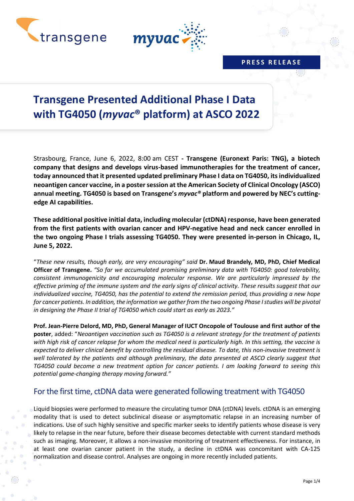



### **P R E S S R E L E A S E**

# **Transgene Presented Additional Phase I Data with TG4050 (***myvac***® platform) at ASCO 2022**

Strasbourg, France, June 6, 2022, 8:00 am CEST **- Transgene (Euronext Paris: TNG), a biotech company that designs and develops virus-based immunotherapies for the treatment of cancer, today announced that it presented updated preliminary Phase I data on TG4050, its individualized neoantigen cancer vaccine, in a poster session at the American Society of Clinical Oncology (ASCO) annual meeting. TG4050 is based on Transgene's** *myvac®* **platform and powered by NEC's cuttingedge AI capabilities.**

**These additional positive initial data, including molecular (ctDNA) response, have been generated from the first patients with ovarian cancer and HPV-negative head and neck cancer enrolled in the two ongoing Phase I trials assessing TG4050. They were presented in-person in Chicago, IL, June 5, 2022.**

"*These new results, though early, are very encouraging" said* **Dr. Maud Brandely, MD, PhD, Chief Medical Officer of Transgene.** *"So far we accumulated promising preliminary data with TG4050: good tolerability, consistent immunogenicity and encouraging molecular response. We are particularly impressed by the effective priming of the immune system and the early signs of clinical activity. These results suggest that our individualized vaccine, TG4050, has the potential to extend the remission period, thus providing a new hope for cancer patients. In addition, the information we gather from the two ongoing Phase Istudies will be pivotal in designing the Phase II trial of TG4050 which could start as early as 2023."*

**Prof. Jean-Pierre Delord, MD, PhD, General Manager of IUCT Oncopole of Toulouse and first author of the poster**, added: "*Neoantigen vaccination such as TG4050 is a relevant strategy for the treatment of patients with high risk of cancer relapse for whom the medical need is particularly high. In this setting, the vaccine is expected to deliver clinical benefit by controlling the residual disease. To date, this non-invasive treatment is well tolerated by the patients and although preliminary, the data presented at ASCO clearly suggest that TG4050 could become a new treatment option for cancer patients. I am looking forward to seeing this potential game-changing therapy moving forward."*

## For the first time, ctDNA data were generated following treatment with TG4050

Liquid biopsies were performed to measure the circulating tumor DNA (ctDNA) levels. ctDNA is an emerging modality that is used to detect subclinical disease or asymptomatic relapse in an increasing number of indications. Use of such highly sensitive and specific marker seeks to identify patients whose disease is very likely to relapse in the near future, before their disease becomes detectable with current standard methods such as imaging. Moreover, it allows a non-invasive monitoring of treatment effectiveness. For instance, in at least one ovarian cancer patient in the study, a decline in ctDNA was concomitant with CA-125 normalization and disease control. Analyses are ongoing in more recently included patients.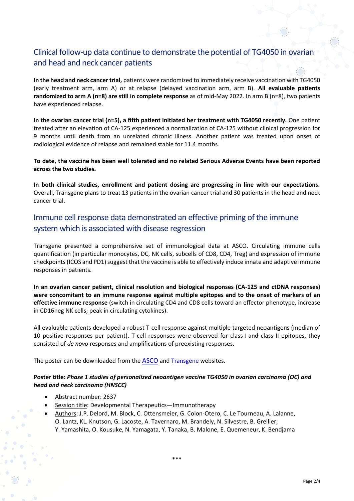# Clinical follow-up data continue to demonstrate the potential of TG4050 in ovarian and head and neck cancer patients

**In the head and neck cancer trial,** patients were randomized to immediately receive vaccination with TG4050 (early treatment arm, arm A) or at relapse (delayed vaccination arm, arm B). **All evaluable patients randomized to arm A (n=8) are still in complete response** as of mid-May 2022. In arm B (n=8), two patients have experienced relapse.

**In the ovarian cancer trial (n=5), a fifth patient initiated her treatment with TG4050 recently.** One patient treated after an elevation of CA-125 experienced a normalization of CA-125 without clinical progression for 9 months until death from an unrelated chronic illness. Another patient was treated upon onset of radiological evidence of relapse and remained stable for 11.4 months.

**To date, the vaccine has been well tolerated and no related Serious Adverse Events have been reported across the two studies.**

**In both clinical studies, enrollment and patient dosing are progressing in line with our expectations.** Overall, Transgene plans to treat 13 patients in the ovarian cancer trial and 30 patients in the head and neck cancer trial.

# Immune cell response data demonstrated an effective priming of the immune system which is associated with disease regression

Transgene presented a comprehensive set of immunological data at ASCO. Circulating immune cells quantification (in particular monocytes, DC, NK cells, subcells of CD8, CD4, Treg) and expression of immune checkpoints (ICOS and PD1) suggest that the vaccine is able to effectively induce innate and adaptive immune responses in patients.

**In an ovarian cancer patient, clinical resolution and biological responses (CA-125 and ctDNA responses) were concomitant to an immune response against multiple epitopes and to the onset of markers of an effective immune response** (switch in circulating CD4 and CD8 cells toward an effector phenotype, increase in CD16neg NK cells; peak in circulating cytokines).

All evaluable patients developed a robust T-cell response against multiple targeted neoantigens (median of 10 positive responses per patient). T-cell responses were observed for class I and class II epitopes, they consisted of *de novo* responses and amplifications of preexisting responses.

The poster can be downloaded from the [ASCO](https://conferences.asco.org/am/abstracts-posters) and [Transgene](https://www.transgene.fr/en/publications-en/) websites.

### **Poster title:** *Phase 1 studies of personalized neoantigen vaccine TG4050 in ovarian carcinoma (OC) and head and neck carcinoma (HNSCC)*

- Abstract number: 2637
- Session title: Developmental Therapeutics—Immunotherapy
	- Authors: J.P. Delord, M. Block, C. Ottensmeier, G. Colon-Otero, C. Le Tourneau, A. Lalanne, O. Lantz, KL. Knutson, G. Lacoste, A. Tavernaro, M. Brandely, N. Silvestre, B. Grellier, Y. Yamashita, O. Kousuke, N. Yamagata, Y. Tanaka, B. Malone, E. Quemeneur, K. Bendjama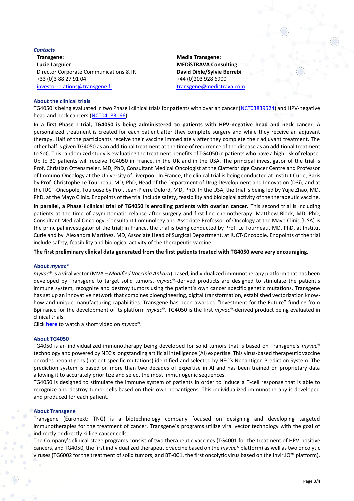#### *Contacts*

**Transgene: Lucie Larguier** Director Corporate Communications & IR +33 (0)3 88 27 91 04 [investorrelations@transgene.fr](mailto:investorrelations@transgene.fr)

**Media Transgene: MEDiSTRAVA Consulting David Dible/Sylvie Berrebi** +44 (0)203 928 6900 [transgene@medistrava.com](mailto:transgene@medistrava.com)

#### **About the clinical trials**

TG4050 is being evaluated in two Phase I clinical trials for patients with ovarian cancer [\(NCT03839524\)](https://www.clinicaltrials.gov/ct2/show/NCT03839524?term=NCT03839524) and HPV-negative head and neck cancers [\(NCT04183166\)](https://clinicaltrials.gov/ct2/show/NCT04183166).

**In a first Phase I trial, TG4050 is being administered to patients with HPV-negative head and neck cancer**. A personalized treatment is created for each patient after they complete surgery and while they receive an adjuvant therapy. Half of the participants receive their vaccine immediately after they complete their adjuvant treatment. The other half is given TG4050 as an additional treatment at the time of recurrence of the disease as an additional treatment to SoC. This randomized study is evaluating the treatment benefits of TG4050 in patients who have a high risk of relapse. Up to 30 patients will receive TG4050 in France, in the UK and in the USA. The principal investigator of the trial is Prof. Christian Ottensmeier, MD, PhD, Consultant Medical Oncologist at the Clatterbridge Cancer Centre and Professor of Immuno-Oncology at the University of Liverpool. In France, the clinical trial is being conducted at Institut Curie, Paris by Prof. Christophe Le Tourneau, MD, PhD, Head of the Department of Drug Development and Innovation (D3i), and at the IUCT-Oncopole, Toulouse by Prof. Jean-Pierre Delord, MD, PhD. In the USA, the trial is being led by Yujie Zhao, MD, PhD, at the Mayo Clinic. Endpoints of the trial include safety, feasibility and biological activity of the therapeutic vaccine.

**In parallel, a Phase I clinical trial of TG4050 is enrolling patients with ovarian cancer.** This second trial is including patients at the time of asymptomatic relapse after surgery and first-line chemotherapy. Matthew Block, MD, PhD, Consultant Medical Oncology, Consultant Immunology and Associate Professor of Oncology at the Mayo Clinic (USA) is the principal investigator of the trial; in France, the trial is being conducted by Prof. Le Tourneau, MD, PhD, at Institut Curie and by Alexandra Martinez, MD, Associate Head of Surgical Department, at IUCT-Oncopole. Endpoints of the trial include safety, feasibility and biological activity of the therapeutic vaccine.

**The first preliminary clinical data generated from the first patients treated with TG4050 were very encouraging.** 

#### **About** *myvac®*

*myvac*® is a viral vector (MVA – *Modified Vaccinia Ankara*) based, individualized immunotherapy platform that has been developed by Transgene to target solid tumors. *myvac*®-derived products are designed to stimulate the patient's immune system, recognize and destroy tumors using the patient's own cancer specific genetic mutations. Transgene has set up an innovative network that combines bioengineering, digital transformation, established vectorization knowhow and unique manufacturing capabilities. Transgene has been awarded "Investment for the Future" funding from Bpifrance for the development of its platform *myvac*®. TG4050 is the first *myvac*®-derived product being evaluated in clinical trials.

Click **[here](https://player.vimeo.com/video/481154673)** to watch a short video on *myvac*®.

#### **About TG4050**

TG4050 is an individualized immunotherapy being developed for solid tumors that is based on Transgene's *myvac*® technology and powered by NEC's longstanding artificial intelligence (AI) expertise. This virus-based therapeutic vaccine encodes neoantigens (patient-specific mutations) identified and selected by NEC's Neoantigen Prediction System. The prediction system is based on more than two decades of expertise in AI and has been trained on proprietary data allowing it to accurately prioritize and select the most immunogenic sequences.

TG4050 is designed to stimulate the immune system of patients in order to induce a T-cell response that is able to recognize and destroy tumor cells based on their own neoantigens. This individualized immunotherapy is developed and produced for each patient.

#### **About Transgene**

Transgene (Euronext: TNG) is a biotechnology company focused on designing and developing targeted immunotherapies for the treatment of cancer. Transgene's programs utilize viral vector technology with the goal of indirectly or directly killing cancer cells.

The Company's clinical-stage programs consist of two therapeutic vaccines (TG4001 for the treatment of HPV-positive cancers, and TG4050, the first individualized therapeutic vaccine based on the *myvac*® platform) as well as two oncolytic viruses (TG6002 for the treatment of solid tumors, and BT-001, the first oncolytic virus based on the Invir.IO™ platform).